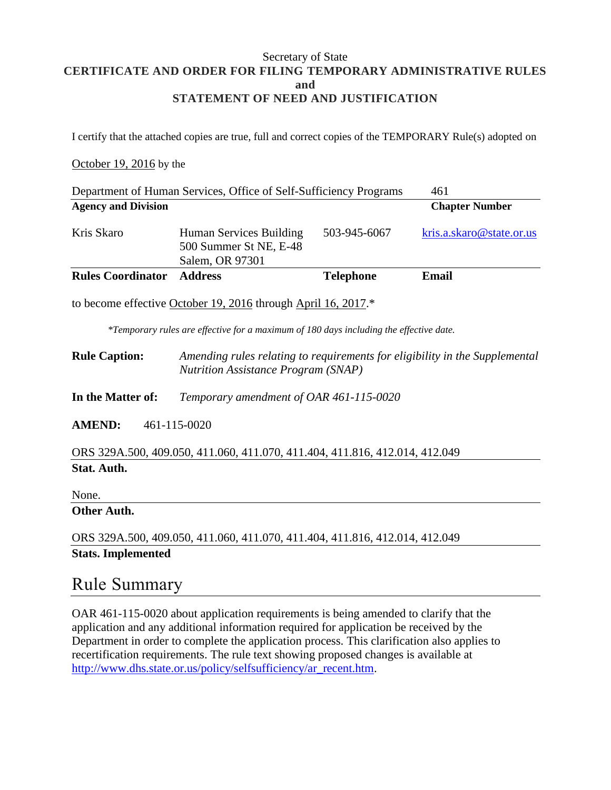### Secretary of State **CERTIFICATE AND ORDER FOR FILING TEMPORARY ADMINISTRATIVE RULES and STATEMENT OF NEED AND JUSTIFICATION**

I certify that the attached copies are true, full and correct copies of the TEMPORARY Rule(s) adopted on

#### October 19, 2016 by the

| Department of Human Services, Office of Self-Sufficiency Programs<br>461               |                                                                                                                           |                  |                          |
|----------------------------------------------------------------------------------------|---------------------------------------------------------------------------------------------------------------------------|------------------|--------------------------|
| <b>Agency and Division</b>                                                             |                                                                                                                           |                  | <b>Chapter Number</b>    |
| Kris Skaro                                                                             | Human Services Building<br>500 Summer St NE, E-48<br>Salem, OR 97301                                                      | 503-945-6067     | kris.a.skaro@state.or.us |
| <b>Rules Coordinator</b>                                                               | <b>Address</b>                                                                                                            | <b>Telephone</b> | <b>Email</b>             |
| to become effective October 19, 2016 through April 16, 2017.*                          |                                                                                                                           |                  |                          |
| *Temporary rules are effective for a maximum of 180 days including the effective date. |                                                                                                                           |                  |                          |
| <b>Rule Caption:</b>                                                                   | Amending rules relating to requirements for eligibility in the Supplemental<br><b>Nutrition Assistance Program (SNAP)</b> |                  |                          |
| In the Matter of:                                                                      | Temporary amendment of OAR 461-115-0020                                                                                   |                  |                          |
| <b>AMEND:</b><br>461-115-0020                                                          |                                                                                                                           |                  |                          |
| ORS 329A.500, 409.050, 411.060, 411.070, 411.404, 411.816, 412.014, 412.049            |                                                                                                                           |                  |                          |
| <b>Stat. Auth.</b>                                                                     |                                                                                                                           |                  |                          |
| None.                                                                                  |                                                                                                                           |                  |                          |
| Other Auth.                                                                            |                                                                                                                           |                  |                          |
| ORS 329A.500, 409.050, 411.060, 411.070, 411.404, 411.816, 412.014, 412.049            |                                                                                                                           |                  |                          |
| <b>Stats. Implemented</b>                                                              |                                                                                                                           |                  |                          |

### Rule Summary

OAR 461-115-0020 about application requirements is being amended to clarify that the application and any additional information required for application be received by the Department in order to complete the application process. This clarification also applies to recertification requirements. The rule text showing proposed changes is available at [http://www.dhs.state.or.us/policy/selfsufficiency/ar\\_recent.htm.](http://www.dhs.state.or.us/policy/selfsufficiency/ar_recent.htm)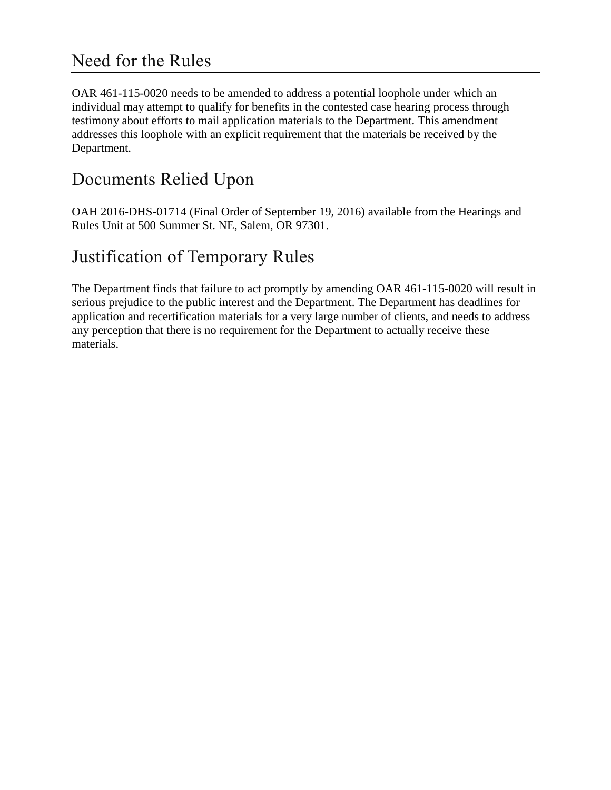## Need for the Rules

OAR 461-115-0020 needs to be amended to address a potential loophole under which an individual may attempt to qualify for benefits in the contested case hearing process through testimony about efforts to mail application materials to the Department. This amendment addresses this loophole with an explicit requirement that the materials be received by the Department.

# Documents Relied Upon

OAH 2016-DHS-01714 (Final Order of September 19, 2016) available from the Hearings and Rules Unit at 500 Summer St. NE, Salem, OR 97301.

# Justification of Temporary Rules

The Department finds that failure to act promptly by amending OAR 461-115-0020 will result in serious prejudice to the public interest and the Department. The Department has deadlines for application and recertification materials for a very large number of clients, and needs to address any perception that there is no requirement for the Department to actually receive these materials.